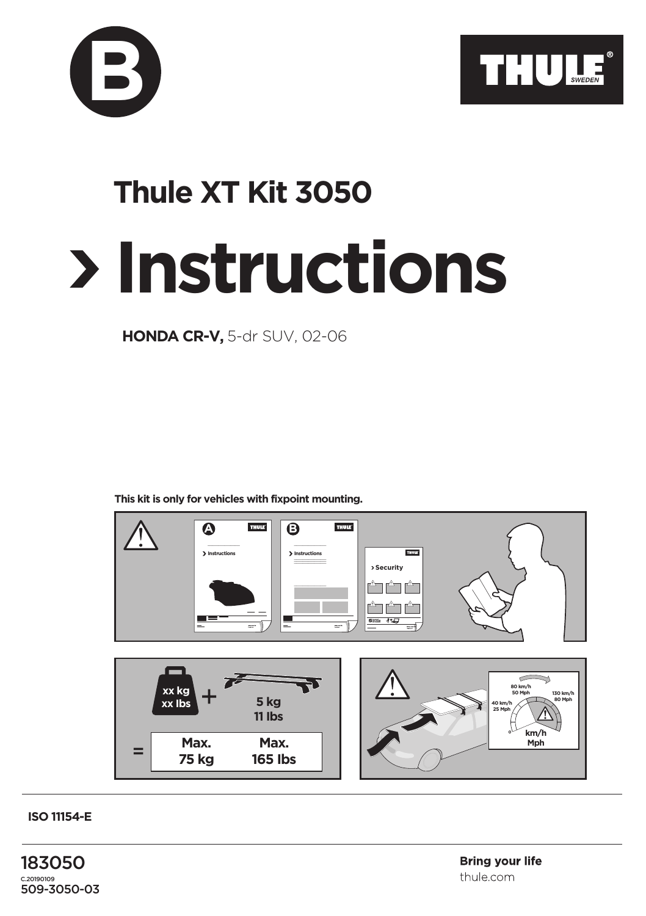



## **Instructions Thule XT Kit 3050**

**HONDA CR-V,** 5-dr SUV, 02-06

**This kit is only for vehicles with fixpoint mounting.**



**ISO 11154-E**

183050 C.20190109 509-3050-03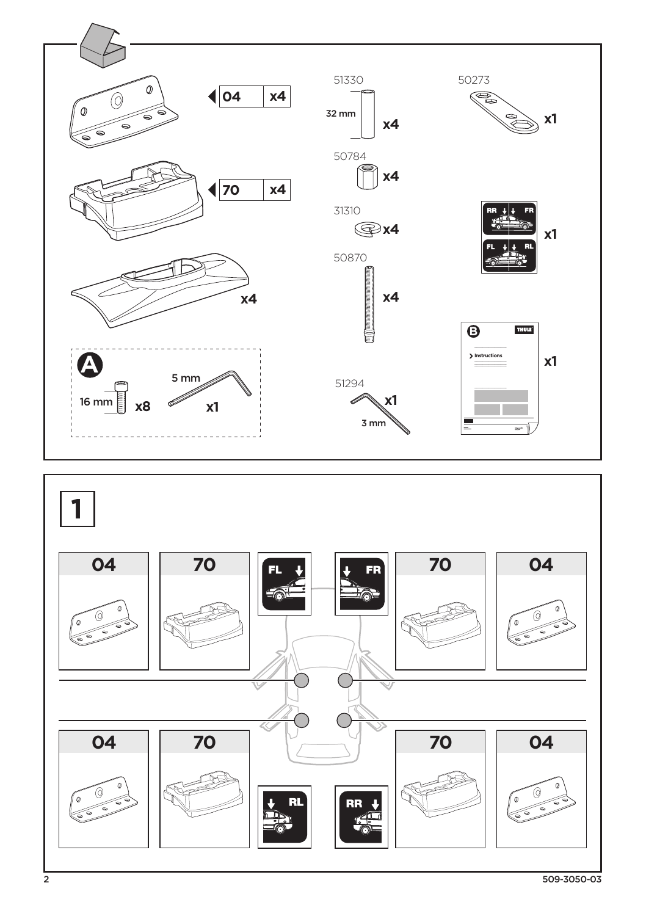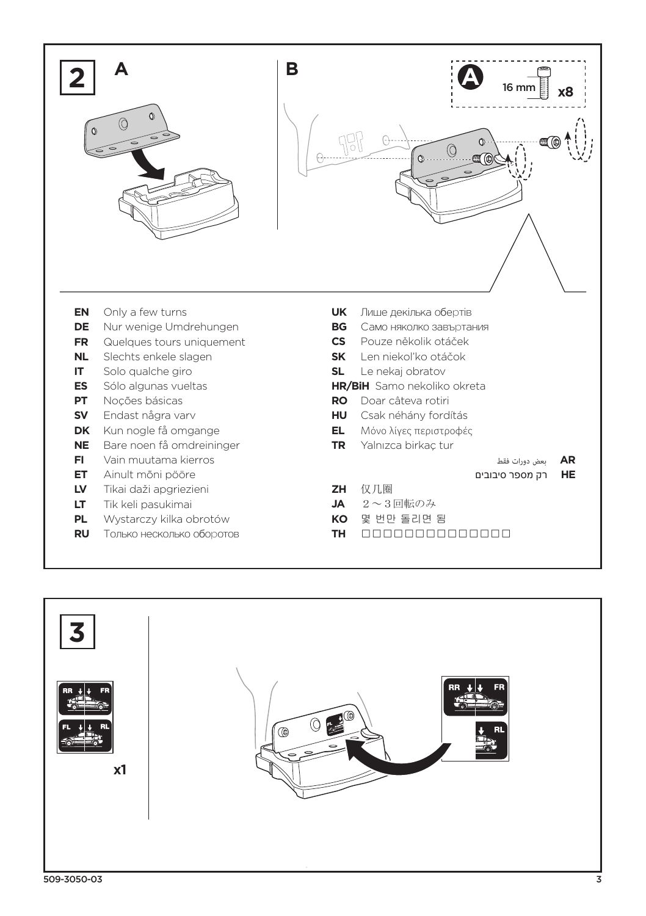